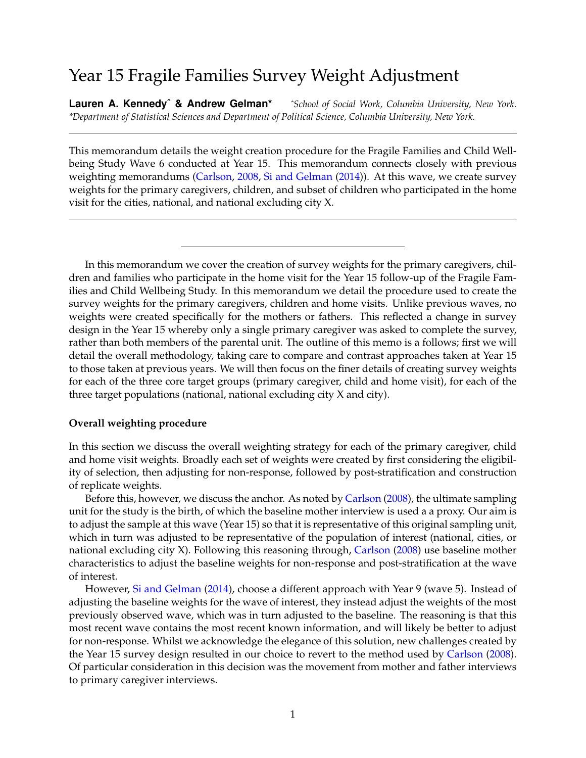# Year 15 Fragile Families Survey Weight Adjustment

**Lauren A. Kennedyˆ & Andrew Gelman\*** *ˆSchool of Social Work, Columbia University, New York. \*Department of Statistical Sciences and Department of Political Science, Columbia University, New York.*

This memorandum details the weight creation procedure for the Fragile Families and Child Wellbeing Study Wave 6 conducted at Year 15. This memorandum connects closely with previous weighting memorandums [\(Carlson,](#page-23-0) [2008,](#page-23-0) [Si and Gelman](#page-23-1) [\(2014\)](#page-23-1)). At this wave, we create survey weights for the primary caregivers, children, and subset of children who participated in the home visit for the cities, national, and national excluding city X.

In this memorandum we cover the creation of survey weights for the primary caregivers, children and families who participate in the home visit for the Year 15 follow-up of the Fragile Families and Child Wellbeing Study. In this memorandum we detail the procedure used to create the survey weights for the primary caregivers, children and home visits. Unlike previous waves, no weights were created specifically for the mothers or fathers. This reflected a change in survey design in the Year 15 whereby only a single primary caregiver was asked to complete the survey, rather than both members of the parental unit. The outline of this memo is a follows; first we will detail the overall methodology, taking care to compare and contrast approaches taken at Year 15 to those taken at previous years. We will then focus on the finer details of creating survey weights for each of the three core target groups (primary caregiver, child and home visit), for each of the three target populations (national, national excluding city X and city).

### **Overall weighting procedure**

In this section we discuss the overall weighting strategy for each of the primary caregiver, child and home visit weights. Broadly each set of weights were created by first considering the eligibility of selection, then adjusting for non-response, followed by post-stratification and construction of replicate weights.

Before this, however, we discuss the anchor. As noted by [Carlson](#page-23-0) [\(2008\)](#page-23-0), the ultimate sampling unit for the study is the birth, of which the baseline mother interview is used a a proxy. Our aim is to adjust the sample at this wave (Year 15) so that it is representative of this original sampling unit, which in turn was adjusted to be representative of the population of interest (national, cities, or national excluding city X). Following this reasoning through, [Carlson](#page-23-0) [\(2008\)](#page-23-0) use baseline mother characteristics to adjust the baseline weights for non-response and post-stratification at the wave of interest.

However, [Si and Gelman](#page-23-1) [\(2014\)](#page-23-1), choose a different approach with Year 9 (wave 5). Instead of adjusting the baseline weights for the wave of interest, they instead adjust the weights of the most previously observed wave, which was in turn adjusted to the baseline. The reasoning is that this most recent wave contains the most recent known information, and will likely be better to adjust for non-response. Whilst we acknowledge the elegance of this solution, new challenges created by the Year 15 survey design resulted in our choice to revert to the method used by [Carlson](#page-23-0) [\(2008\)](#page-23-0). Of particular consideration in this decision was the movement from mother and father interviews to primary caregiver interviews.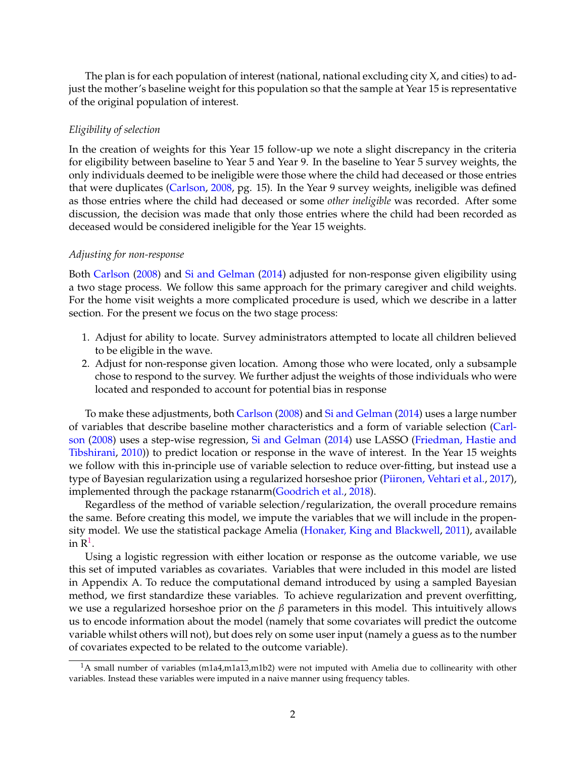The plan is for each population of interest (national, national excluding city X, and cities) to adjust the mother's baseline weight for this population so that the sample at Year 15 is representative of the original population of interest.

### *Eligibility of selection*

In the creation of weights for this Year 15 follow-up we note a slight discrepancy in the criteria for eligibility between baseline to Year 5 and Year 9. In the baseline to Year 5 survey weights, the only individuals deemed to be ineligible were those where the child had deceased or those entries that were duplicates [\(Carlson,](#page-23-0) [2008,](#page-23-0) pg. 15). In the Year 9 survey weights, ineligible was defined as those entries where the child had deceased or some *other ineligible* was recorded. After some discussion, the decision was made that only those entries where the child had been recorded as deceased would be considered ineligible for the Year 15 weights.

### *Adjusting for non-response*

Both [Carlson](#page-23-0) [\(2008\)](#page-23-0) and [Si and Gelman](#page-23-1) [\(2014\)](#page-23-1) adjusted for non-response given eligibility using a two stage process. We follow this same approach for the primary caregiver and child weights. For the home visit weights a more complicated procedure is used, which we describe in a latter section. For the present we focus on the two stage process:

- 1. Adjust for ability to locate. Survey administrators attempted to locate all children believed to be eligible in the wave.
- 2. Adjust for non-response given location. Among those who were located, only a subsample chose to respond to the survey. We further adjust the weights of those individuals who were located and responded to account for potential bias in response

To make these adjustments, both [Carlson](#page-23-0) [\(2008\)](#page-23-0) and [Si and Gelman](#page-23-1) [\(2014\)](#page-23-1) uses a large number of variables that describe baseline mother characteristics and a form of variable selection [\(Carl](#page-23-0)[son](#page-23-0) [\(2008\)](#page-23-0) uses a step-wise regression, [Si and Gelman](#page-23-1) [\(2014\)](#page-23-1) use LASSO [\(Friedman, Hastie and](#page-23-2) [Tibshirani,](#page-23-2) [2010\)](#page-23-2)) to predict location or response in the wave of interest. In the Year 15 weights we follow with this in-principle use of variable selection to reduce over-fitting, but instead use a type of Bayesian regularization using a regularized horseshoe prior [\(Piironen, Vehtari et al.,](#page-23-3) [2017\)](#page-23-3), implemented through the package rstanarm[\(Goodrich et al.,](#page-23-4) [2018\)](#page-23-4).

Regardless of the method of variable selection/regularization, the overall procedure remains the same. Before creating this model, we impute the variables that we will include in the propensity model. We use the statistical package Amelia [\(Honaker, King and Blackwell,](#page-23-5) [2011\)](#page-23-5), available in  $\mathbb{R}^1$  $\mathbb{R}^1$ .

Using a logistic regression with either location or response as the outcome variable, we use this set of imputed variables as covariates. Variables that were included in this model are listed in Appendix A. To reduce the computational demand introduced by using a sampled Bayesian method, we first standardize these variables. To achieve regularization and prevent overfitting, we use a regularized horseshoe prior on the *β* parameters in this model. This intuitively allows us to encode information about the model (namely that some covariates will predict the outcome variable whilst others will not), but does rely on some user input (namely a guess as to the number of covariates expected to be related to the outcome variable).

<span id="page-1-0"></span><sup>&</sup>lt;sup>1</sup>A small number of variables (m1a4,m1a13,m1b2) were not imputed with Amelia due to collinearity with other variables. Instead these variables were imputed in a naive manner using frequency tables.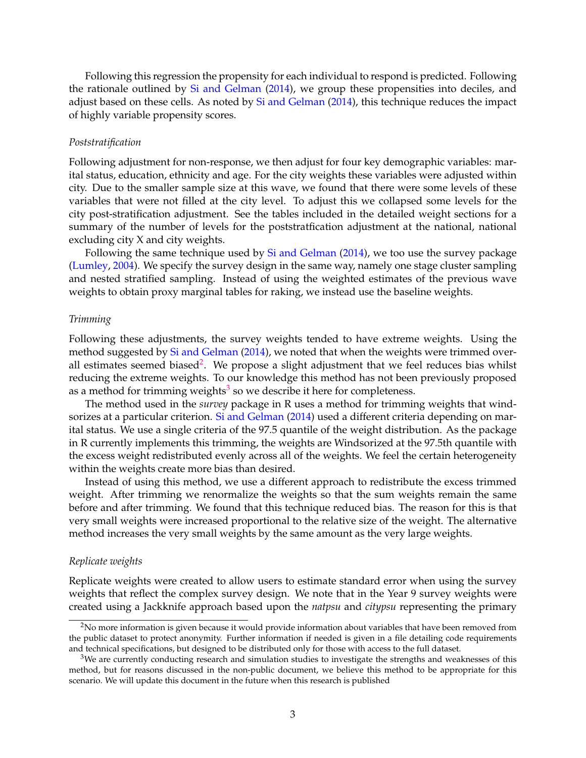Following this regression the propensity for each individual to respond is predicted. Following the rationale outlined by [Si and Gelman](#page-23-1) [\(2014\)](#page-23-1), we group these propensities into deciles, and adjust based on these cells. As noted by [Si and Gelman](#page-23-1) [\(2014\)](#page-23-1), this technique reduces the impact of highly variable propensity scores.

### *Poststratification*

Following adjustment for non-response, we then adjust for four key demographic variables: marital status, education, ethnicity and age. For the city weights these variables were adjusted within city. Due to the smaller sample size at this wave, we found that there were some levels of these variables that were not filled at the city level. To adjust this we collapsed some levels for the city post-stratification adjustment. See the tables included in the detailed weight sections for a summary of the number of levels for the poststratfication adjustment at the national, national excluding city X and city weights.

Following the same technique used by [Si and Gelman](#page-23-1) [\(2014\)](#page-23-1), we too use the survey package [\(Lumley,](#page-23-6) [2004\)](#page-23-6). We specify the survey design in the same way, namely one stage cluster sampling and nested stratified sampling. Instead of using the weighted estimates of the previous wave weights to obtain proxy marginal tables for raking, we instead use the baseline weights.

#### *Trimming*

Following these adjustments, the survey weights tended to have extreme weights. Using the method suggested by [Si and Gelman](#page-23-1) [\(2014\)](#page-23-1), we noted that when the weights were trimmed over-all estimates seemed biased<sup>[2](#page-2-0)</sup>. We propose a slight adjustment that we feel reduces bias whilst reducing the extreme weights. To our knowledge this method has not been previously proposed as a method for trimming weights $^3$  $^3$  so we describe it here for completeness.

The method used in the *survey* package in R uses a method for trimming weights that wind-sorizes at a particular criterion. [Si and Gelman](#page-23-1) [\(2014\)](#page-23-1) used a different criteria depending on marital status. We use a single criteria of the 97.5 quantile of the weight distribution. As the package in R currently implements this trimming, the weights are Windsorized at the 97.5th quantile with the excess weight redistributed evenly across all of the weights. We feel the certain heterogeneity within the weights create more bias than desired.

Instead of using this method, we use a different approach to redistribute the excess trimmed weight. After trimming we renormalize the weights so that the sum weights remain the same before and after trimming. We found that this technique reduced bias. The reason for this is that very small weights were increased proportional to the relative size of the weight. The alternative method increases the very small weights by the same amount as the very large weights.

### *Replicate weights*

Replicate weights were created to allow users to estimate standard error when using the survey weights that reflect the complex survey design. We note that in the Year 9 survey weights were created using a Jackknife approach based upon the *natpsu* and *citypsu* representing the primary

<span id="page-2-0"></span><sup>&</sup>lt;sup>2</sup>No more information is given because it would provide information about variables that have been removed from the public dataset to protect anonymity. Further information if needed is given in a file detailing code requirements and technical specifications, but designed to be distributed only for those with access to the full dataset.

<span id="page-2-1"></span> $3$ We are currently conducting research and simulation studies to investigate the strengths and weaknesses of this method, but for reasons discussed in the non-public document, we believe this method to be appropriate for this scenario. We will update this document in the future when this research is published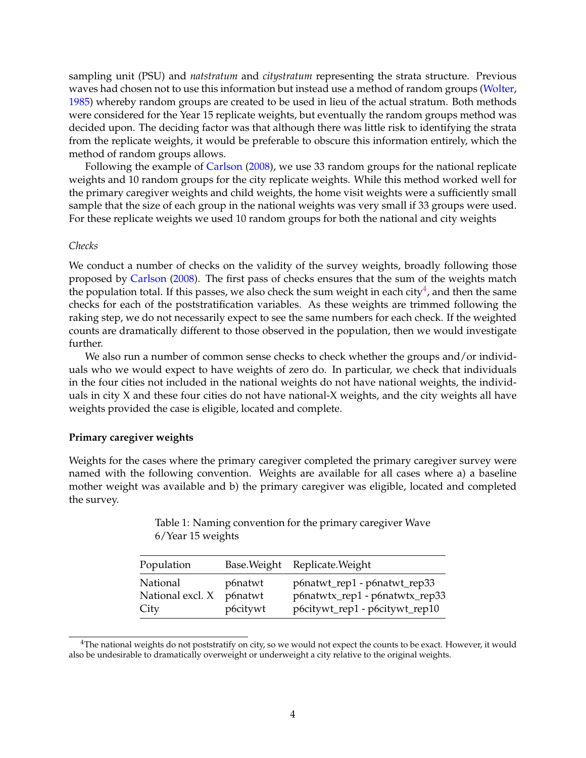sampling unit (PSU) and *natstratum* and *citystratum* representing the strata structure. Previous waves had chosen not to use this information but instead use a method of random groups [\(Wolter,](#page-23-7) [1985\)](#page-23-7) whereby random groups are created to be used in lieu of the actual stratum. Both methods were considered for the Year 15 replicate weights, but eventually the random groups method was decided upon. The deciding factor was that although there was little risk to identifying the strata from the replicate weights, it would be preferable to obscure this information entirely, which the method of random groups allows.

Following the example of [Carlson](#page-23-0) [\(2008\)](#page-23-0), we use 33 random groups for the national replicate weights and 10 random groups for the city replicate weights. While this method worked well for the primary caregiver weights and child weights, the home visit weights were a sufficiently small sample that the size of each group in the national weights was very small if 33 groups were used. For these replicate weights we used 10 random groups for both the national and city weights

### *Checks*

We conduct a number of checks on the validity of the survey weights, broadly following those proposed by [Carlson](#page-23-0) [\(2008\)](#page-23-0). The first pass of checks ensures that the sum of the weights match the population total. If this passes, we also check the sum weight in each city $^4$  $^4$ , and then the same checks for each of the poststratification variables. As these weights are trimmed following the raking step, we do not necessarily expect to see the same numbers for each check. If the weighted counts are dramatically different to those observed in the population, then we would investigate further.

We also run a number of common sense checks to check whether the groups and/or individuals who we would expect to have weights of zero do. In particular, we check that individuals in the four cities not included in the national weights do not have national weights, the individuals in city X and these four cities do not have national-X weights, and the city weights all have weights provided the case is eligible, located and complete.

### **Primary caregiver weights**

Weights for the cases where the primary caregiver completed the primary caregiver survey were named with the following convention. Weights are available for all cases where a) a baseline mother weight was available and b) the primary caregiver was eligible, located and completed the survey.

> Table 1: Naming convention for the primary caregiver Wave 6/Year 15 weights

| Population       |          | Base. Weight Replicate. Weight |
|------------------|----------|--------------------------------|
| National         | p6natwt  | p6natwt_rep1 - p6natwt_rep33   |
| National excl. X | p6natwt  | p6natwtx_rep1 - p6natwtx_rep33 |
| City             | p6citywt | p6citywt_rep1 - p6citywt_rep10 |

<span id="page-3-0"></span><sup>&</sup>lt;sup>4</sup>The national weights do not poststratify on city, so we would not expect the counts to be exact. However, it would also be undesirable to dramatically overweight or underweight a city relative to the original weights.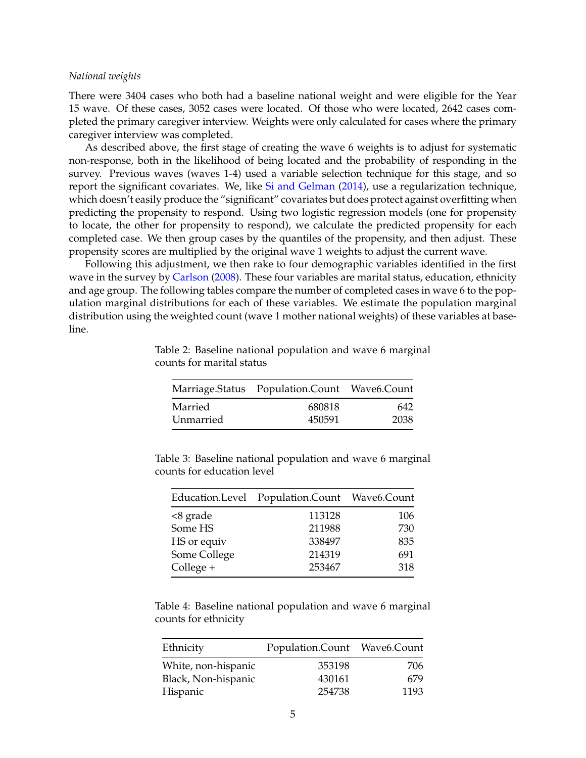### *National weights*

There were 3404 cases who both had a baseline national weight and were eligible for the Year 15 wave. Of these cases, 3052 cases were located. Of those who were located, 2642 cases completed the primary caregiver interview. Weights were only calculated for cases where the primary caregiver interview was completed.

As described above, the first stage of creating the wave 6 weights is to adjust for systematic non-response, both in the likelihood of being located and the probability of responding in the survey. Previous waves (waves 1-4) used a variable selection technique for this stage, and so report the significant covariates. We, like [Si and Gelman](#page-23-1) [\(2014\)](#page-23-1), use a regularization technique, which doesn't easily produce the "significant" covariates but does protect against overfitting when predicting the propensity to respond. Using two logistic regression models (one for propensity to locate, the other for propensity to respond), we calculate the predicted propensity for each completed case. We then group cases by the quantiles of the propensity, and then adjust. These propensity scores are multiplied by the original wave 1 weights to adjust the current wave.

Following this adjustment, we then rake to four demographic variables identified in the first wave in the survey by [Carlson](#page-23-0) [\(2008\)](#page-23-0). These four variables are marital status, education, ethnicity and age group. The following tables compare the number of completed cases in wave 6 to the population marginal distributions for each of these variables. We estimate the population marginal distribution using the weighted count (wave 1 mother national weights) of these variables at baseline.

|           | Marriage.Status Population.Count Wave6.Count |      |
|-----------|----------------------------------------------|------|
| Married   | 680818                                       | 642  |
| Unmarried | 450591                                       | 2038 |

Table 2: Baseline national population and wave 6 marginal counts for marital status

Table 3: Baseline national population and wave 6 marginal counts for education level

|              | Education.Level Population.Count Wave6.Count |     |
|--------------|----------------------------------------------|-----|
| $<8$ grade   | 113128                                       | 106 |
| Some HS      | 211988                                       | 730 |
| HS or equiv  | 338497                                       | 835 |
| Some College | 214319                                       | 691 |
| $Collect +$  | 253467                                       | 318 |

Table 4: Baseline national population and wave 6 marginal counts for ethnicity

| Ethnicity           | Population.Count Wave6.Count |      |
|---------------------|------------------------------|------|
| White, non-hispanic | 353198                       | 706  |
| Black, Non-hispanic | 430161                       | 679  |
| Hispanic            | 254738                       | 1193 |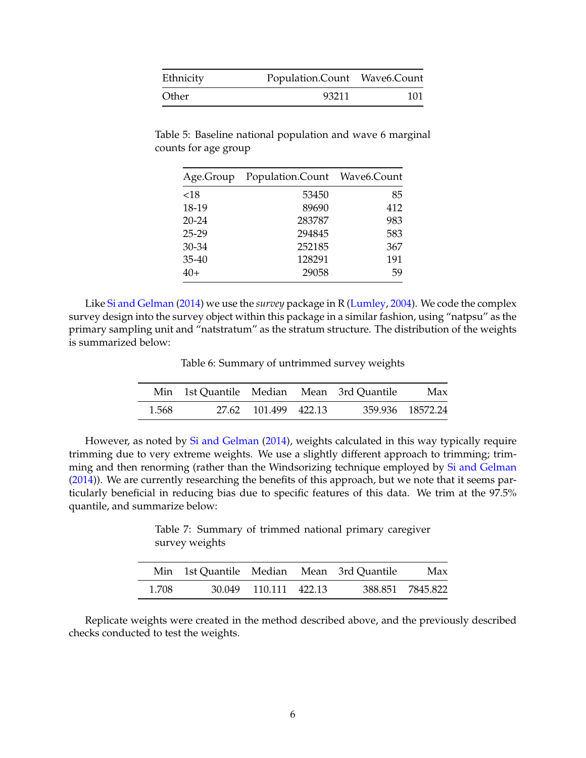| Ethnicity | Population.Count Wave6.Count |     |
|-----------|------------------------------|-----|
| Other     | 93211                        | 101 |

Table 5: Baseline national population and wave 6 marginal counts for age group

| Age.Group | Population.Count Wave6.Count |     |
|-----------|------------------------------|-----|
| ${<}18$   | 53450                        | 85  |
| 18-19     | 89690                        | 412 |
| $20 - 24$ | 283787                       | 983 |
| $25 - 29$ | 294845                       | 583 |
| 30-34     | 252185                       | 367 |
| $35 - 40$ | 128291                       | 191 |
| 40+       | 29058                        | 59  |

Table 6: Summary of untrimmed survey weights

|       | Min 1st Quantile Median Mean 3rd Quantile |                      |  | Max              |
|-------|-------------------------------------------|----------------------|--|------------------|
| 1.568 |                                           | 27.62 101.499 422.13 |  | 359.936 18572.24 |

However, as noted by [Si and Gelman](#page-23-1) [\(2014\)](#page-23-1), weights calculated in this way typically require trimming due to very extreme weights. We use a slightly different approach to trimming; trim-ming and then renorming (rather than the Windsorizing technique employed by [Si and Gelman](#page-23-1) [\(2014\)](#page-23-1)). We are currently researching the benefits of this approach, but we note that it seems particularly beneficial in reducing bias due to specific features of this data. We trim at the 97.5% quantile, and summarize below:

Table 7: Summary of trimmed national primary caregiver survey weights

|       |                       | Min 1st Quantile Median Mean 3rd Quantile | Max              |
|-------|-----------------------|-------------------------------------------|------------------|
| 1.708 | 30.049 110.111 422.13 |                                           | 388.851 7845.822 |

Replicate weights were created in the method described above, and the previously described checks conducted to test the weights.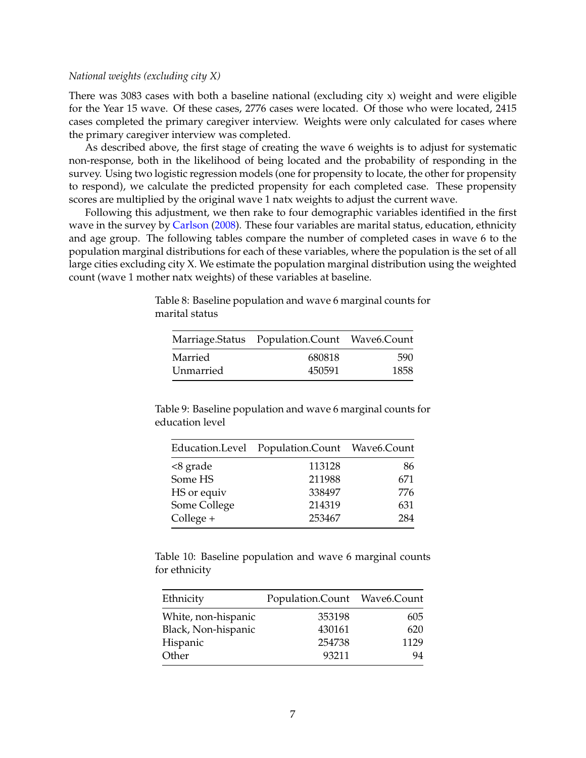### *National weights (excluding city X)*

There was 3083 cases with both a baseline national (excluding city x) weight and were eligible for the Year 15 wave. Of these cases, 2776 cases were located. Of those who were located, 2415 cases completed the primary caregiver interview. Weights were only calculated for cases where the primary caregiver interview was completed.

As described above, the first stage of creating the wave 6 weights is to adjust for systematic non-response, both in the likelihood of being located and the probability of responding in the survey. Using two logistic regression models (one for propensity to locate, the other for propensity to respond), we calculate the predicted propensity for each completed case. These propensity scores are multiplied by the original wave 1 natx weights to adjust the current wave.

Following this adjustment, we then rake to four demographic variables identified in the first wave in the survey by [Carlson](#page-23-0) [\(2008\)](#page-23-0). These four variables are marital status, education, ethnicity and age group. The following tables compare the number of completed cases in wave 6 to the population marginal distributions for each of these variables, where the population is the set of all large cities excluding city X. We estimate the population marginal distribution using the weighted count (wave 1 mother natx weights) of these variables at baseline.

|           | Marriage.Status Population.Count Wave6.Count |      |
|-----------|----------------------------------------------|------|
| Married   | 680818                                       | 590  |
| Unmarried | 450591                                       | 1858 |

Table 8: Baseline population and wave 6 marginal counts for marital status

Table 9: Baseline population and wave 6 marginal counts for education level

|              | Education.Level Population.Count Wave6.Count |     |
|--------------|----------------------------------------------|-----|
| <8 grade     | 113128                                       | 86  |
| Some HS      | 211988                                       | 671 |
| HS or equiv  | 338497                                       | 776 |
| Some College | 214319                                       | 631 |
| College +    | 253467                                       | 284 |

Table 10: Baseline population and wave 6 marginal counts for ethnicity

| Ethnicity           | Population.Count Wave6.Count |      |
|---------------------|------------------------------|------|
| White, non-hispanic | 353198                       | 605  |
| Black, Non-hispanic | 430161                       | 620  |
| Hispanic            | 254738                       | 1129 |
| Other               | 93211                        | 94   |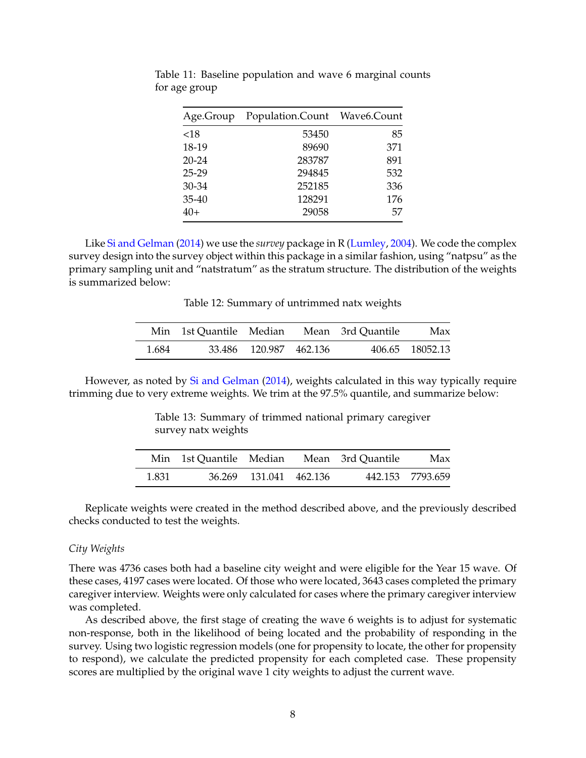| Age.Group | Population.Count Wave6.Count |     |
|-----------|------------------------------|-----|
| ${<}18$   | 53450                        | 85  |
| 18-19     | 89690                        | 371 |
| $20 - 24$ | 283787                       | 891 |
| $25 - 29$ | 294845                       | 532 |
| 30-34     | 252185                       | 336 |
| 35-40     | 128291                       | 176 |
| $40+$     | 29058                        | 57  |

Table 11: Baseline population and wave 6 marginal counts for age group

Table 12: Summary of untrimmed natx weights

|       | Min 1st Quantile Median |                        | Mean 3rd Quantile | Max             |
|-------|-------------------------|------------------------|-------------------|-----------------|
| 1.684 |                         | 33.486 120.987 462.136 |                   | 406.65 18052.13 |

However, as noted by [Si and Gelman](#page-23-1) [\(2014\)](#page-23-1), weights calculated in this way typically require trimming due to very extreme weights. We trim at the 97.5% quantile, and summarize below:

Table 13: Summary of trimmed national primary caregiver survey natx weights

|       |                        | Min 1st Quantile Median Mean 3rd Quantile | Max              |
|-------|------------------------|-------------------------------------------|------------------|
| 1.831 | 36.269 131.041 462.136 |                                           | 442.153 7793.659 |

Replicate weights were created in the method described above, and the previously described checks conducted to test the weights.

### *City Weights*

There was 4736 cases both had a baseline city weight and were eligible for the Year 15 wave. Of these cases, 4197 cases were located. Of those who were located, 3643 cases completed the primary caregiver interview. Weights were only calculated for cases where the primary caregiver interview was completed.

As described above, the first stage of creating the wave 6 weights is to adjust for systematic non-response, both in the likelihood of being located and the probability of responding in the survey. Using two logistic regression models (one for propensity to locate, the other for propensity to respond), we calculate the predicted propensity for each completed case. These propensity scores are multiplied by the original wave 1 city weights to adjust the current wave.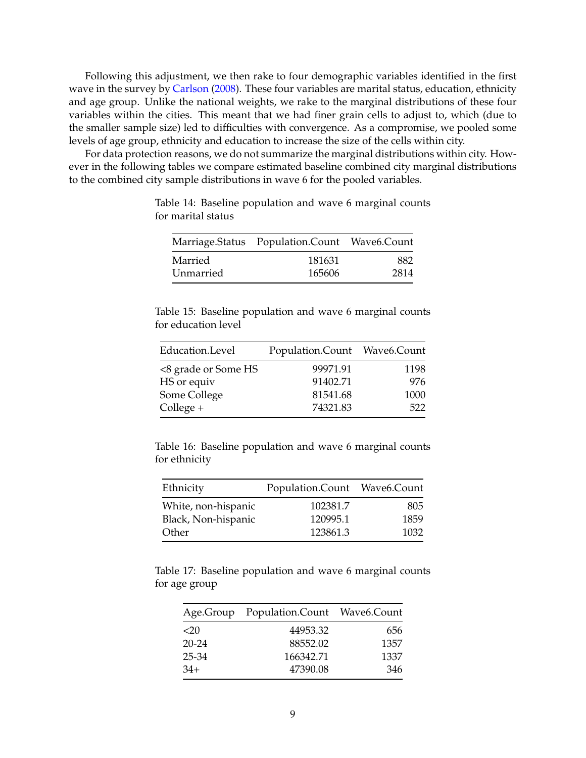Following this adjustment, we then rake to four demographic variables identified in the first wave in the survey by [Carlson](#page-23-0) [\(2008\)](#page-23-0). These four variables are marital status, education, ethnicity and age group. Unlike the national weights, we rake to the marginal distributions of these four variables within the cities. This meant that we had finer grain cells to adjust to, which (due to the smaller sample size) led to difficulties with convergence. As a compromise, we pooled some levels of age group, ethnicity and education to increase the size of the cells within city.

For data protection reasons, we do not summarize the marginal distributions within city. However in the following tables we compare estimated baseline combined city marginal distributions to the combined city sample distributions in wave 6 for the pooled variables.

|           | Marriage.Status Population.Count Wave6.Count |      |
|-----------|----------------------------------------------|------|
| Married   | 181631                                       | 882  |
| Unmarried | 165606                                       | 2814 |

Table 14: Baseline population and wave 6 marginal counts for marital status

Table 15: Baseline population and wave 6 marginal counts for education level

| Education.Level     | Population.Count Wave6.Count |      |
|---------------------|------------------------------|------|
| <8 grade or Some HS | 99971.91                     | 1198 |
| HS or equiv         | 91402.71                     | 976  |
| Some College        | 81541.68                     | 1000 |
| $Collect +$         | 74321.83                     | 522  |

Table 16: Baseline population and wave 6 marginal counts for ethnicity

| Ethnicity           | Population.Count Wave6.Count |      |
|---------------------|------------------------------|------|
| White, non-hispanic | 102381.7                     | 805  |
| Black, Non-hispanic | 120995.1                     | 1859 |
| Other               | 123861.3                     | 1032 |

Table 17: Baseline population and wave 6 marginal counts for age group

|           | Age.Group Population.Count Wave6.Count |      |
|-----------|----------------------------------------|------|
| $<$ 20    | 44953.32                               | 656  |
| $20 - 24$ | 88552.02                               | 1357 |
| 25-34     | 166342.71                              | 1337 |
| $34+$     | 47390.08                               | 346  |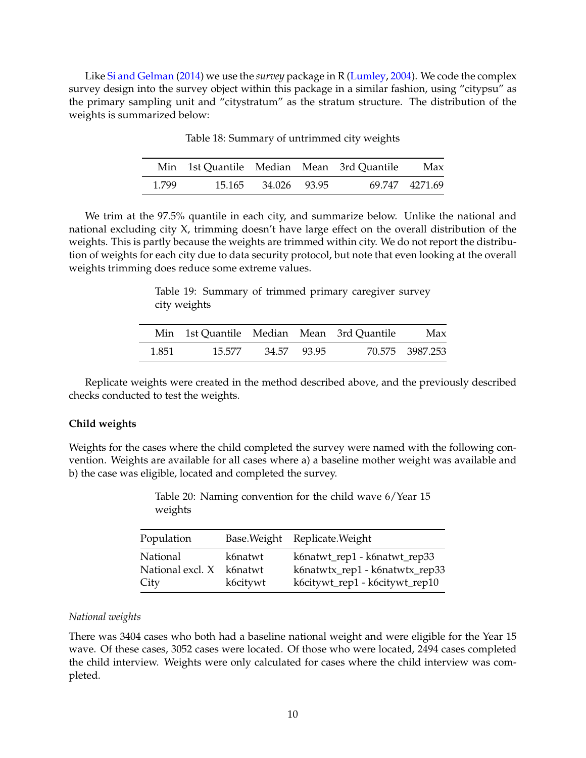|       |        |              | Min 1st Quantile Median Mean 3rd Quantile | Max            |
|-------|--------|--------------|-------------------------------------------|----------------|
| 1.799 | 15.165 | 34.026 93.95 |                                           | 69.747 4271.69 |

Table 18: Summary of untrimmed city weights

We trim at the 97.5% quantile in each city, and summarize below. Unlike the national and national excluding city X, trimming doesn't have large effect on the overall distribution of the weights. This is partly because the weights are trimmed within city. We do not report the distribution of weights for each city due to data security protocol, but note that even looking at the overall weights trimming does reduce some extreme values.

> Table 19: Summary of trimmed primary caregiver survey city weights

|       |        |             | Min 1st Quantile Median Mean 3rd Quantile | Max             |
|-------|--------|-------------|-------------------------------------------|-----------------|
| 1.851 | 15.577 | 34.57 93.95 |                                           | 70.575 3987.253 |

Replicate weights were created in the method described above, and the previously described checks conducted to test the weights.

### **Child weights**

Weights for the cases where the child completed the survey were named with the following convention. Weights are available for all cases where a) a baseline mother weight was available and b) the case was eligible, located and completed the survey.

> Table 20: Naming convention for the child wave 6/Year 15 weights

| Population       |          | Base. Weight Replicate. Weight |
|------------------|----------|--------------------------------|
| National         | k6natwt  | k6natwt_rep1 - k6natwt_rep33   |
| National excl. X | k6natwt  | k6natwtx_rep1 - k6natwtx_rep33 |
| City             | k6citywt | k6citywt_rep1 - k6citywt_rep10 |

### *National weights*

There was 3404 cases who both had a baseline national weight and were eligible for the Year 15 wave. Of these cases, 3052 cases were located. Of those who were located, 2494 cases completed the child interview. Weights were only calculated for cases where the child interview was completed.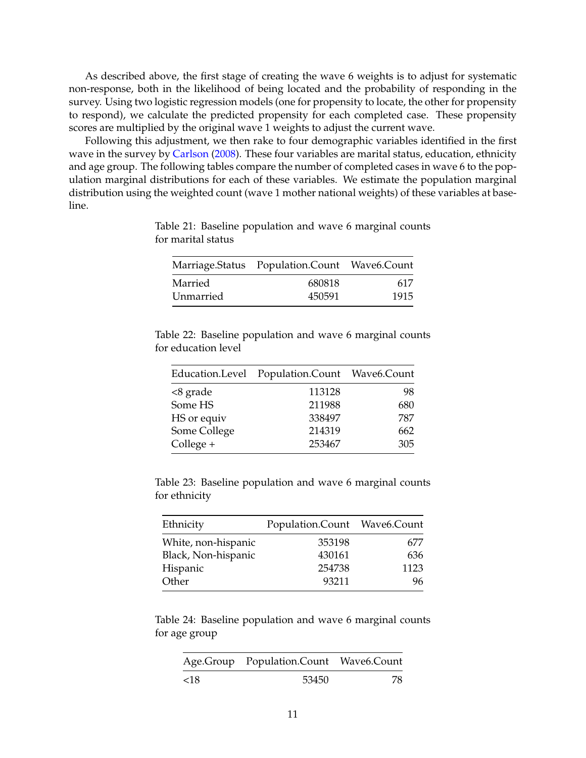As described above, the first stage of creating the wave 6 weights is to adjust for systematic non-response, both in the likelihood of being located and the probability of responding in the survey. Using two logistic regression models (one for propensity to locate, the other for propensity to respond), we calculate the predicted propensity for each completed case. These propensity scores are multiplied by the original wave 1 weights to adjust the current wave.

Following this adjustment, we then rake to four demographic variables identified in the first wave in the survey by [Carlson](#page-23-0) [\(2008\)](#page-23-0). These four variables are marital status, education, ethnicity and age group. The following tables compare the number of completed cases in wave 6 to the population marginal distributions for each of these variables. We estimate the population marginal distribution using the weighted count (wave 1 mother national weights) of these variables at baseline.

|           | Marriage.Status Population.Count Wave6.Count |      |
|-----------|----------------------------------------------|------|
| Married   | 680818                                       | 617  |
| Unmarried | 450591                                       | 1915 |

Table 21: Baseline population and wave 6 marginal counts for marital status

|                     | Table 22: Baseline population and wave 6 marginal counts |  |  |  |
|---------------------|----------------------------------------------------------|--|--|--|
| for education level |                                                          |  |  |  |

|              | Education.Level Population.Count Wave6.Count |     |
|--------------|----------------------------------------------|-----|
| <8 grade     | 113128                                       | 98  |
| Some HS      | 211988                                       | 680 |
| HS or equiv  | 338497                                       | 787 |
| Some College | 214319                                       | 662 |
| College +    | 253467                                       | 305 |

|               | Table 23: Baseline population and wave 6 marginal counts |  |  |  |
|---------------|----------------------------------------------------------|--|--|--|
| for ethnicity |                                                          |  |  |  |

| Ethnicity           | Population.Count Wave6.Count |      |
|---------------------|------------------------------|------|
| White, non-hispanic | 353198                       | 677  |
| Black, Non-hispanic | 430161                       | 636  |
| Hispanic            | 254738                       | 1123 |
| Other               | 93211                        | 96.  |

Table 24: Baseline population and wave 6 marginal counts for age group

|     | Age.Group Population.Count Wave6.Count |     |
|-----|----------------------------------------|-----|
| <18 | 53450                                  | -78 |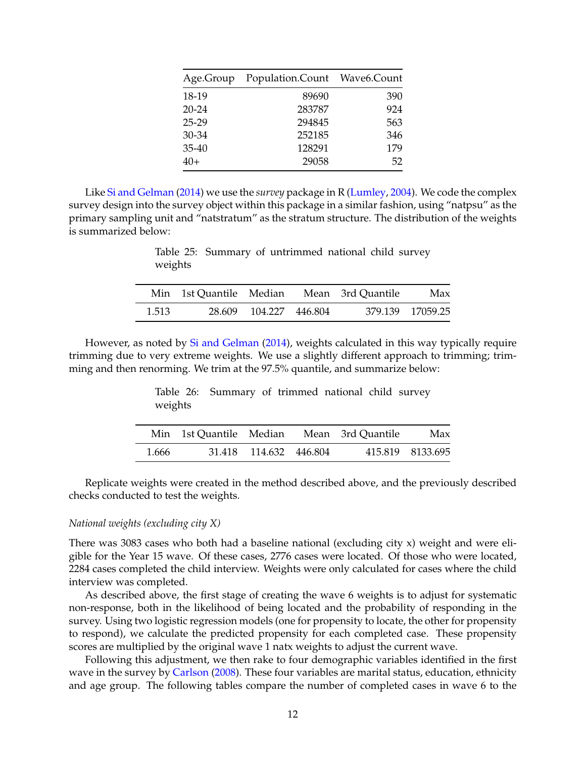|       | Age.Group Population.Count Wave6.Count |     |
|-------|----------------------------------------|-----|
| 18-19 | 89690                                  | 390 |
| 20-24 | 283787                                 | 924 |
| 25-29 | 294845                                 | 563 |
| 30-34 | 252185                                 | 346 |
| 35-40 | 128291                                 | 179 |
| 40+   | 29058                                  | 52  |

Table 25: Summary of untrimmed national child survey weights

|       | Min 1st Quantile Median Mean 3rd Quantile |                        |  | Max              |
|-------|-------------------------------------------|------------------------|--|------------------|
| 1.513 |                                           | 28.609 104.227 446.804 |  | 379.139 17059.25 |

However, as noted by [Si and Gelman](#page-23-1) [\(2014\)](#page-23-1), weights calculated in this way typically require trimming due to very extreme weights. We use a slightly different approach to trimming; trimming and then renorming. We trim at the 97.5% quantile, and summarize below:

> Table 26: Summary of trimmed national child survey weights

|       | Min 1st Quantile Median Mean 3rd Quantile |                        |  | Max              |
|-------|-------------------------------------------|------------------------|--|------------------|
| 1.666 |                                           | 31.418 114.632 446.804 |  | 415.819 8133.695 |

Replicate weights were created in the method described above, and the previously described checks conducted to test the weights.

### *National weights (excluding city X)*

There was 3083 cases who both had a baseline national (excluding city x) weight and were eligible for the Year 15 wave. Of these cases, 2776 cases were located. Of those who were located, 2284 cases completed the child interview. Weights were only calculated for cases where the child interview was completed.

As described above, the first stage of creating the wave 6 weights is to adjust for systematic non-response, both in the likelihood of being located and the probability of responding in the survey. Using two logistic regression models (one for propensity to locate, the other for propensity to respond), we calculate the predicted propensity for each completed case. These propensity scores are multiplied by the original wave 1 natx weights to adjust the current wave.

Following this adjustment, we then rake to four demographic variables identified in the first wave in the survey by [Carlson](#page-23-0) [\(2008\)](#page-23-0). These four variables are marital status, education, ethnicity and age group. The following tables compare the number of completed cases in wave 6 to the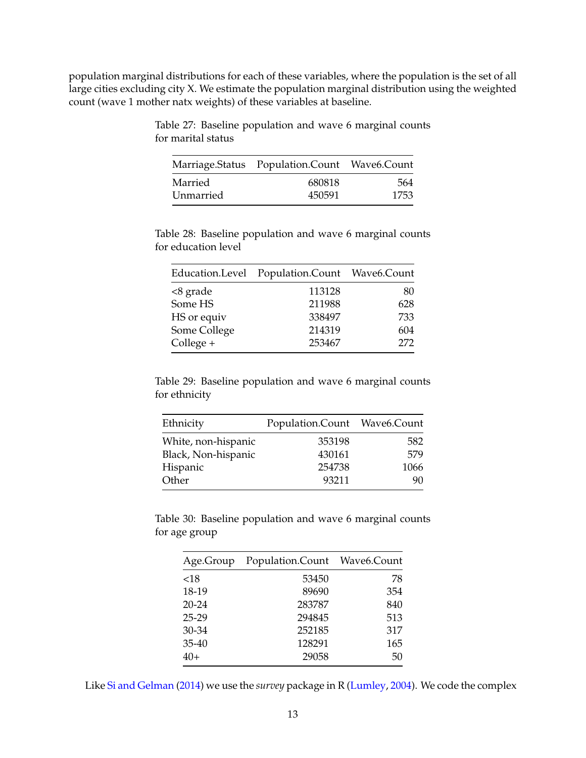population marginal distributions for each of these variables, where the population is the set of all large cities excluding city X. We estimate the population marginal distribution using the weighted count (wave 1 mother natx weights) of these variables at baseline.

|           | Marriage.Status Population.Count Wave6.Count |      |  |
|-----------|----------------------------------------------|------|--|
| Married   | 680818                                       | 564  |  |
| Unmarried | 450591                                       | 1753 |  |

Table 27: Baseline population and wave 6 marginal counts for marital status

|                     | Table 28: Baseline population and wave 6 marginal counts |  |  |  |
|---------------------|----------------------------------------------------------|--|--|--|
| for education level |                                                          |  |  |  |

|              | Education.Level Population.Count Wave6.Count |     |
|--------------|----------------------------------------------|-----|
| <8 grade     | 113128                                       | 80  |
| Some HS      | 211988                                       | 628 |
| HS or equiv  | 338497                                       | 733 |
| Some College | 214319                                       | 604 |
| College +    | 253467                                       | 272 |

Table 29: Baseline population and wave 6 marginal counts for ethnicity

| Ethnicity           | Population.Count Wave6.Count |      |
|---------------------|------------------------------|------|
| White, non-hispanic | 353198                       | 582  |
| Black, Non-hispanic | 430161                       | 579  |
| Hispanic            | 254738                       | 1066 |
| Other               | 93211                        | 90.  |

Table 30: Baseline population and wave 6 marginal counts for age group

| Age.Group | Population.Count Wave6.Count |     |
|-----------|------------------------------|-----|
| ${<}18$   | 53450                        | 78  |
| 18-19     | 89690                        | 354 |
| $20 - 24$ | 283787                       | 840 |
| 25-29     | 294845                       | 513 |
| $30 - 34$ | 252185                       | 317 |
| $35-40$   | 128291                       | 165 |
| $40+$     | 29058                        | 50  |

Like [Si and Gelman](#page-23-1) [\(2014\)](#page-23-1) we use the *survey* package in R [\(Lumley,](#page-23-6) [2004\)](#page-23-6). We code the complex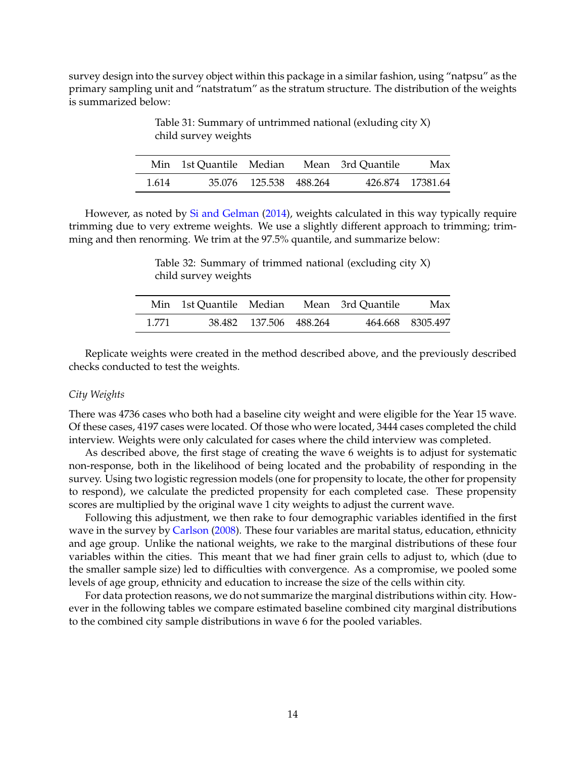survey design into the survey object within this package in a similar fashion, using "natpsu" as the primary sampling unit and "natstratum" as the stratum structure. The distribution of the weights is summarized below:

Min 1st Quantile Median Mean 3rd Quantile Max 1.614 35.076 125.538 488.264 426.874 17381.64

Table 31: Summary of untrimmed national (exluding city X) child survey weights

However, as noted by [Si and Gelman](#page-23-1) [\(2014\)](#page-23-1), weights calculated in this way typically require trimming due to very extreme weights. We use a slightly different approach to trimming; trimming and then renorming. We trim at the 97.5% quantile, and summarize below:

Table 32: Summary of trimmed national (excluding city X) child survey weights

|       |                        | Min 1st Quantile Median Mean 3rd Quantile | Max              |
|-------|------------------------|-------------------------------------------|------------------|
| 1.771 | 38.482 137.506 488.264 |                                           | 464.668 8305.497 |

Replicate weights were created in the method described above, and the previously described checks conducted to test the weights.

### *City Weights*

There was 4736 cases who both had a baseline city weight and were eligible for the Year 15 wave. Of these cases, 4197 cases were located. Of those who were located, 3444 cases completed the child interview. Weights were only calculated for cases where the child interview was completed.

As described above, the first stage of creating the wave 6 weights is to adjust for systematic non-response, both in the likelihood of being located and the probability of responding in the survey. Using two logistic regression models (one for propensity to locate, the other for propensity to respond), we calculate the predicted propensity for each completed case. These propensity scores are multiplied by the original wave 1 city weights to adjust the current wave.

Following this adjustment, we then rake to four demographic variables identified in the first wave in the survey by [Carlson](#page-23-0) [\(2008\)](#page-23-0). These four variables are marital status, education, ethnicity and age group. Unlike the national weights, we rake to the marginal distributions of these four variables within the cities. This meant that we had finer grain cells to adjust to, which (due to the smaller sample size) led to difficulties with convergence. As a compromise, we pooled some levels of age group, ethnicity and education to increase the size of the cells within city.

For data protection reasons, we do not summarize the marginal distributions within city. However in the following tables we compare estimated baseline combined city marginal distributions to the combined city sample distributions in wave 6 for the pooled variables.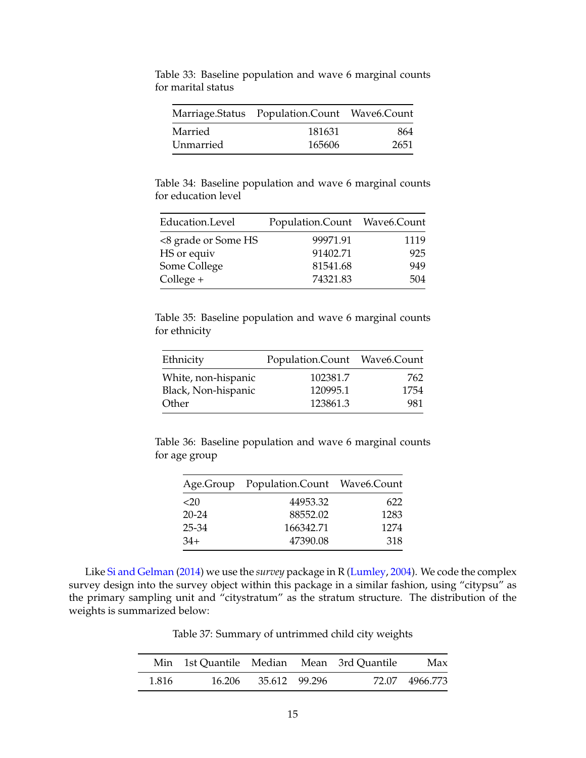|           | Marriage.Status Population.Count Wave6.Count |      |  |
|-----------|----------------------------------------------|------|--|
| Married   | 181631                                       | 864  |  |
| Unmarried | 165606                                       | 2651 |  |

Table 33: Baseline population and wave 6 marginal counts for marital status

Table 34: Baseline population and wave 6 marginal counts for education level

| Education.Level     | Population.Count Wave6.Count |      |
|---------------------|------------------------------|------|
| <8 grade or Some HS | 99971.91                     | 1119 |
| HS or equiv         | 91402.71                     | 925  |
| Some College        | 81541.68                     | 949  |
| $Collect +$         | 74321.83                     | 504  |

Table 35: Baseline population and wave 6 marginal counts for ethnicity

| Ethnicity           | Population.Count Wave6.Count |      |
|---------------------|------------------------------|------|
| White, non-hispanic | 102381.7                     | 762. |
| Black, Non-hispanic | 120995.1                     | 1754 |
| Other               | 123861.3                     | 981  |

Table 36: Baseline population and wave 6 marginal counts for age group

|        | Age.Group Population.Count Wave6.Count |      |
|--------|----------------------------------------|------|
| $<$ 20 | 44953.32                               | 622  |
| 20-24  | 88552.02                               | 1283 |
| 25-34  | 166342.71                              | 1274 |
| 34+    | 47390.08                               | 318  |

Table 37: Summary of untrimmed child city weights

|       |        |               | Min 1st Quantile Median Mean 3rd Quantile | Max            |
|-------|--------|---------------|-------------------------------------------|----------------|
| 1.816 | 16.206 | 35.612 99.296 |                                           | 72.07 4966.773 |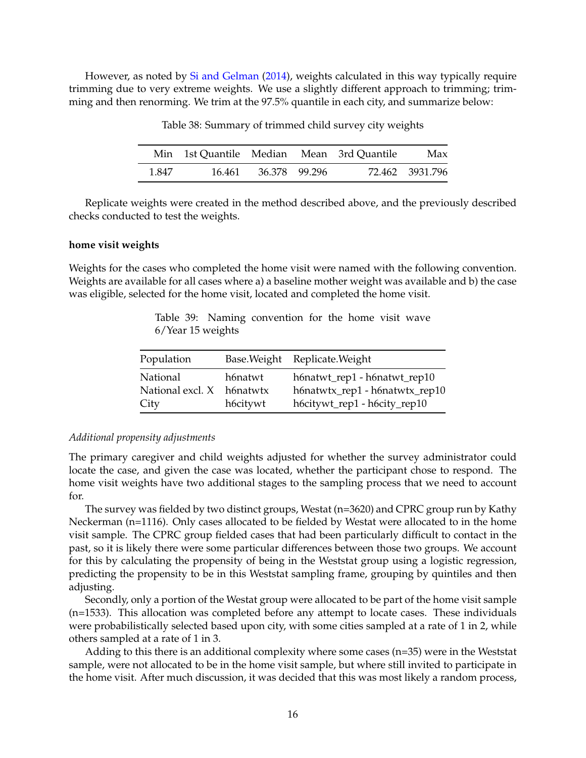However, as noted by [Si and Gelman](#page-23-1) [\(2014\)](#page-23-1), weights calculated in this way typically require trimming due to very extreme weights. We use a slightly different approach to trimming; trimming and then renorming. We trim at the 97.5% quantile in each city, and summarize below:

Table 38: Summary of trimmed child survey city weights

|       | Min 1st Quantile Median Mean 3rd Quantile |               |  | Max             |
|-------|-------------------------------------------|---------------|--|-----------------|
| 1.847 | 16.461                                    | 36.378 99.296 |  | 72.462 3931.796 |

Replicate weights were created in the method described above, and the previously described checks conducted to test the weights.

#### **home visit weights**

Weights for the cases who completed the home visit were named with the following convention. Weights are available for all cases where a) a baseline mother weight was available and b) the case was eligible, selected for the home visit, located and completed the home visit.

> Table 39: Naming convention for the home visit wave 6/Year 15 weights

| Population                                           |                     | Base. Weight Replicate. Weight                                                                 |
|------------------------------------------------------|---------------------|------------------------------------------------------------------------------------------------|
| <b>National</b><br>National excl. X h6natwtx<br>City | h6natwt<br>h6citywt | h6natwt_rep1 - h6natwt_rep10<br>h6natwtx_rep1 - h6natwtx_rep10<br>h6citywt_rep1 - h6city_rep10 |

### *Additional propensity adjustments*

The primary caregiver and child weights adjusted for whether the survey administrator could locate the case, and given the case was located, whether the participant chose to respond. The home visit weights have two additional stages to the sampling process that we need to account for.

The survey was fielded by two distinct groups, Westat (n=3620) and CPRC group run by Kathy Neckerman (n=1116). Only cases allocated to be fielded by Westat were allocated to in the home visit sample. The CPRC group fielded cases that had been particularly difficult to contact in the past, so it is likely there were some particular differences between those two groups. We account for this by calculating the propensity of being in the Weststat group using a logistic regression, predicting the propensity to be in this Weststat sampling frame, grouping by quintiles and then adjusting.

Secondly, only a portion of the Westat group were allocated to be part of the home visit sample (n=1533). This allocation was completed before any attempt to locate cases. These individuals were probabilistically selected based upon city, with some cities sampled at a rate of 1 in 2, while others sampled at a rate of 1 in 3.

Adding to this there is an additional complexity where some cases (n=35) were in the Weststat sample, were not allocated to be in the home visit sample, but where still invited to participate in the home visit. After much discussion, it was decided that this was most likely a random process,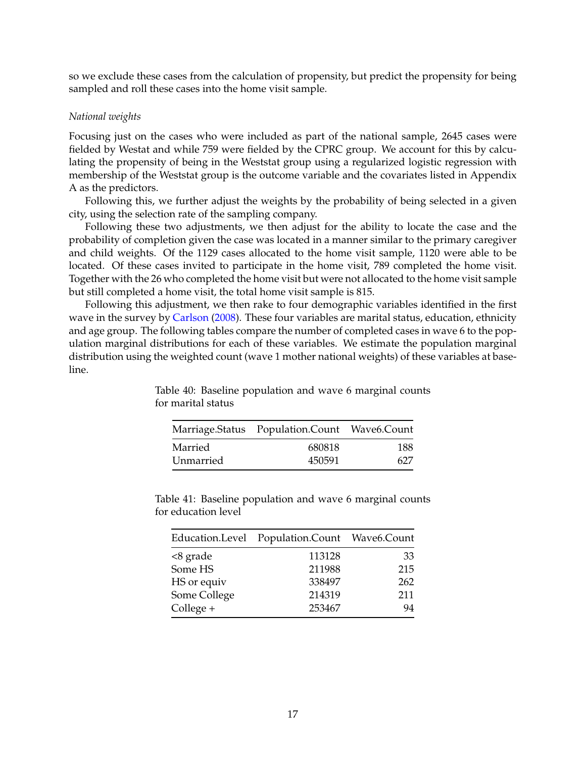so we exclude these cases from the calculation of propensity, but predict the propensity for being sampled and roll these cases into the home visit sample.

### *National weights*

Focusing just on the cases who were included as part of the national sample, 2645 cases were fielded by Westat and while 759 were fielded by the CPRC group. We account for this by calculating the propensity of being in the Weststat group using a regularized logistic regression with membership of the Weststat group is the outcome variable and the covariates listed in Appendix A as the predictors.

Following this, we further adjust the weights by the probability of being selected in a given city, using the selection rate of the sampling company.

Following these two adjustments, we then adjust for the ability to locate the case and the probability of completion given the case was located in a manner similar to the primary caregiver and child weights. Of the 1129 cases allocated to the home visit sample, 1120 were able to be located. Of these cases invited to participate in the home visit, 789 completed the home visit. Together with the 26 who completed the home visit but were not allocated to the home visit sample but still completed a home visit, the total home visit sample is 815.

Following this adjustment, we then rake to four demographic variables identified in the first wave in the survey by [Carlson](#page-23-0) [\(2008\)](#page-23-0). These four variables are marital status, education, ethnicity and age group. The following tables compare the number of completed cases in wave 6 to the population marginal distributions for each of these variables. We estimate the population marginal distribution using the weighted count (wave 1 mother national weights) of these variables at baseline.

Table 40: Baseline population and wave 6 marginal counts

for marital status

|           | Marriage.Status Population.Count Wave6.Count |      |
|-----------|----------------------------------------------|------|
| Married   | 680818                                       | 188. |
| Unmarried | 450591                                       | 627  |

|              | Education.Level Population.Count Wave6.Count |     |
|--------------|----------------------------------------------|-----|
| <8 grade     | 113128                                       | 33  |
| Some HS      | 211988                                       | 215 |
| HS or equiv  | 338497                                       | 262 |
| Some College | 214319                                       | 211 |
| College +    | 253467                                       | 94  |

Table 41: Baseline population and wave 6 marginal counts for education level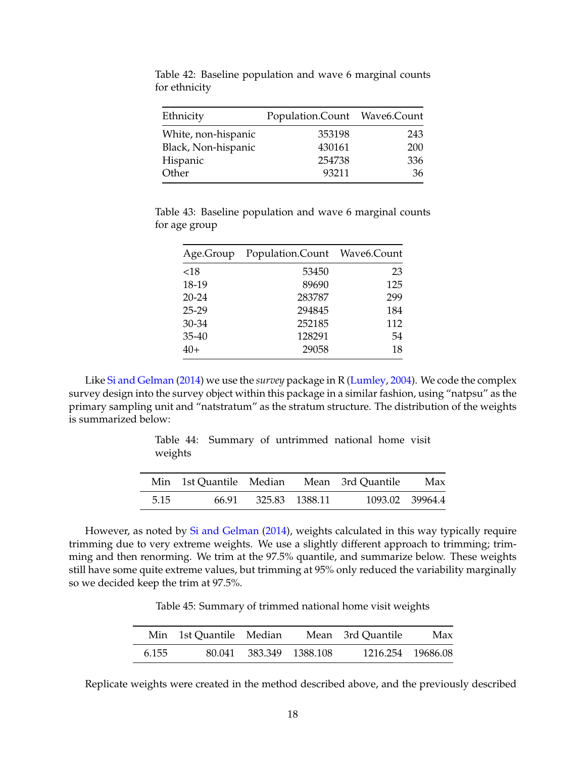| Ethnicity           | Population.Count Wave6.Count |     |
|---------------------|------------------------------|-----|
| White, non-hispanic | 353198                       | 243 |
| Black, Non-hispanic | 430161                       | 200 |
| Hispanic            | 254738                       | 336 |
| Other               | 93211                        | 36  |

Table 42: Baseline population and wave 6 marginal counts for ethnicity

Table 43: Baseline population and wave 6 marginal counts for age group

|           | Age.Group Population.Count Wave6.Count |     |  |
|-----------|----------------------------------------|-----|--|
| ${<}18$   | 53450                                  | 23  |  |
| 18-19     | 89690                                  | 125 |  |
| $20 - 24$ | 283787                                 | 299 |  |
| $25 - 29$ | 294845                                 | 184 |  |
| 30-34     | 252185                                 | 112 |  |
| 35-40     | 128291                                 | 54  |  |
| $40+$     | 29058                                  | 18  |  |

|      |       |                | Min 1st Quantile Median Mean 3rd Quantile | Max             |
|------|-------|----------------|-------------------------------------------|-----------------|
| 5.15 | 66.91 | 325.83 1388.11 |                                           | 1093.02 39964.4 |

Table 44: Summary of untrimmed national home visit weights

However, as noted by [Si and Gelman](#page-23-1) [\(2014\)](#page-23-1), weights calculated in this way typically require trimming due to very extreme weights. We use a slightly different approach to trimming; trimming and then renorming. We trim at the 97.5% quantile, and summarize below. These weights still have some quite extreme values, but trimming at 95% only reduced the variability marginally so we decided keep the trim at 97.5%.

Table 45: Summary of trimmed national home visit weights

|       | Min 1st Quantile Median |                         | Mean 3rd Quantile | Max               |
|-------|-------------------------|-------------------------|-------------------|-------------------|
| 6.155 |                         | 80.041 383.349 1388.108 |                   | 1216.254 19686.08 |

Replicate weights were created in the method described above, and the previously described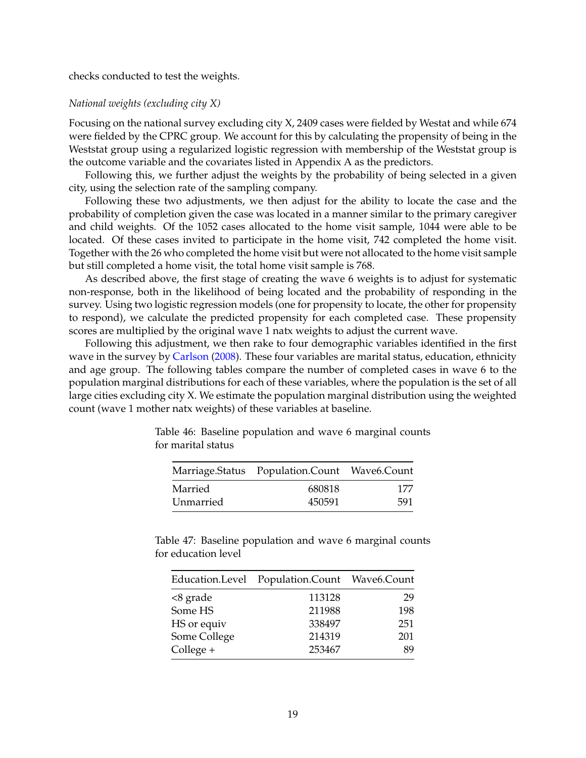### checks conducted to test the weights.

### *National weights (excluding city X)*

Focusing on the national survey excluding city X, 2409 cases were fielded by Westat and while 674 were fielded by the CPRC group. We account for this by calculating the propensity of being in the Weststat group using a regularized logistic regression with membership of the Weststat group is the outcome variable and the covariates listed in Appendix A as the predictors.

Following this, we further adjust the weights by the probability of being selected in a given city, using the selection rate of the sampling company.

Following these two adjustments, we then adjust for the ability to locate the case and the probability of completion given the case was located in a manner similar to the primary caregiver and child weights. Of the 1052 cases allocated to the home visit sample, 1044 were able to be located. Of these cases invited to participate in the home visit, 742 completed the home visit. Together with the 26 who completed the home visit but were not allocated to the home visit sample but still completed a home visit, the total home visit sample is 768.

As described above, the first stage of creating the wave 6 weights is to adjust for systematic non-response, both in the likelihood of being located and the probability of responding in the survey. Using two logistic regression models (one for propensity to locate, the other for propensity to respond), we calculate the predicted propensity for each completed case. These propensity scores are multiplied by the original wave 1 natx weights to adjust the current wave.

Following this adjustment, we then rake to four demographic variables identified in the first wave in the survey by [Carlson](#page-23-0) [\(2008\)](#page-23-0). These four variables are marital status, education, ethnicity and age group. The following tables compare the number of completed cases in wave 6 to the population marginal distributions for each of these variables, where the population is the set of all large cities excluding city X. We estimate the population marginal distribution using the weighted count (wave 1 mother natx weights) of these variables at baseline.

|           | Marriage.Status Population.Count Wave6.Count |      |  |
|-----------|----------------------------------------------|------|--|
| Married   | 680818                                       | 177  |  |
| Unmarried | 450591                                       | .591 |  |

Table 46: Baseline population and wave 6 marginal counts for marital status

Table 47: Baseline population and wave 6 marginal counts for education level

|              | Education.Level Population.Count Wave6.Count |     |
|--------------|----------------------------------------------|-----|
| <8 grade     | 113128                                       | 29  |
| Some HS      | 211988                                       | 198 |
| HS or equiv  | 338497                                       | 251 |
| Some College | 214319                                       | 201 |
| College +    | 253467                                       | 89  |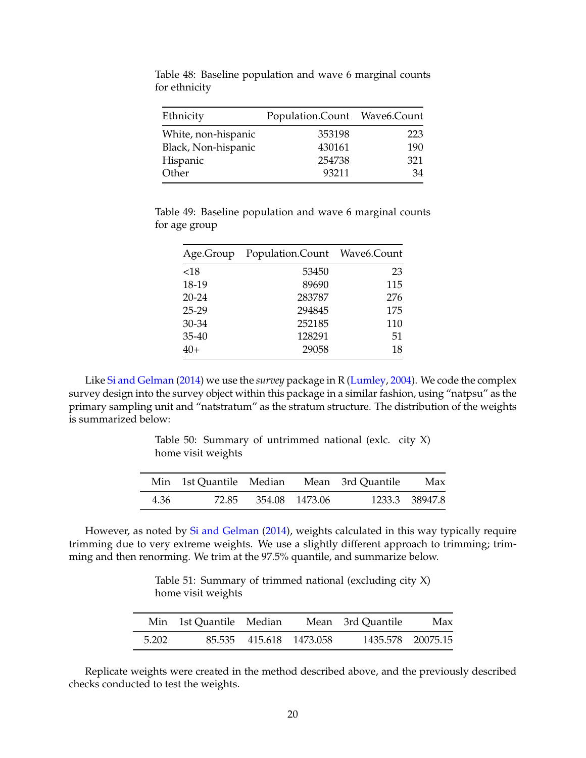| Ethnicity           | Population.Count Wave6.Count |     |  |
|---------------------|------------------------------|-----|--|
| White, non-hispanic | 353198                       | 223 |  |
| Black, Non-hispanic | 430161                       | 190 |  |
| Hispanic            | 254738                       | 321 |  |
| Other               | 93211                        | 34  |  |

Table 48: Baseline population and wave 6 marginal counts for ethnicity

Table 49: Baseline population and wave 6 marginal counts for age group

|           | Age.Group Population.Count Wave6.Count |     |
|-----------|----------------------------------------|-----|
| ${<}18$   | 53450                                  | 23  |
| 18-19     | 89690                                  | 115 |
| $20 - 24$ | 283787                                 | 276 |
| 25-29     | 294845                                 | 175 |
| 30-34     | 252185                                 | 110 |
| $35-40$   | 128291                                 | 51  |
| $40+$     | 29058                                  | 18  |

Table 50: Summary of untrimmed national (exlc. city  $X$ ) home visit weights

|      |                      | Min 1st Quantile Median Mean 3rd Quantile | Max            |
|------|----------------------|-------------------------------------------|----------------|
| 4.36 | 72.85 354.08 1473.06 |                                           | 1233.3 38947.8 |

However, as noted by [Si and Gelman](#page-23-1) [\(2014\)](#page-23-1), weights calculated in this way typically require trimming due to very extreme weights. We use a slightly different approach to trimming; trimming and then renorming. We trim at the 97.5% quantile, and summarize below.

Table 51: Summary of trimmed national (excluding city X) home visit weights

|       | Min 1st Quantile Median |                         | Mean 3rd Quantile | Max               |
|-------|-------------------------|-------------------------|-------------------|-------------------|
| 5.202 |                         | 85.535 415.618 1473.058 |                   | 1435.578 20075.15 |

Replicate weights were created in the method described above, and the previously described checks conducted to test the weights.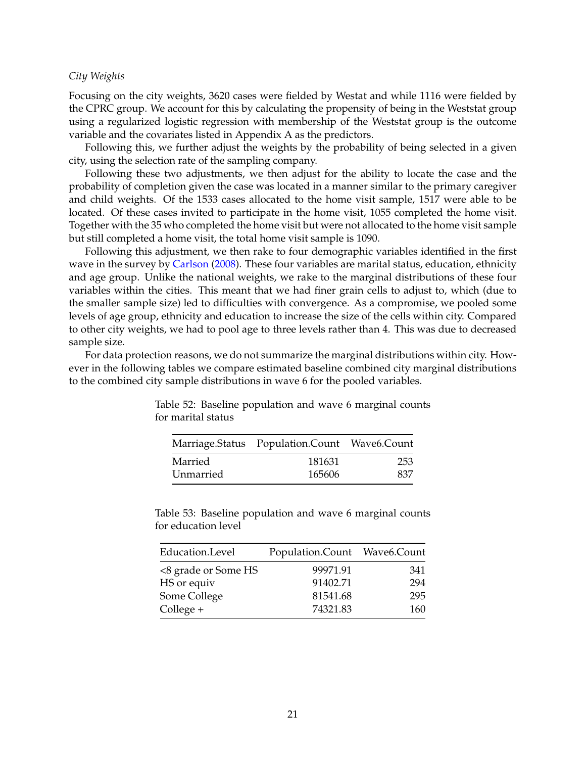### *City Weights*

Focusing on the city weights, 3620 cases were fielded by Westat and while 1116 were fielded by the CPRC group. We account for this by calculating the propensity of being in the Weststat group using a regularized logistic regression with membership of the Weststat group is the outcome variable and the covariates listed in Appendix A as the predictors.

Following this, we further adjust the weights by the probability of being selected in a given city, using the selection rate of the sampling company.

Following these two adjustments, we then adjust for the ability to locate the case and the probability of completion given the case was located in a manner similar to the primary caregiver and child weights. Of the 1533 cases allocated to the home visit sample, 1517 were able to be located. Of these cases invited to participate in the home visit, 1055 completed the home visit. Together with the 35 who completed the home visit but were not allocated to the home visit sample but still completed a home visit, the total home visit sample is 1090.

Following this adjustment, we then rake to four demographic variables identified in the first wave in the survey by [Carlson](#page-23-0) [\(2008\)](#page-23-0). These four variables are marital status, education, ethnicity and age group. Unlike the national weights, we rake to the marginal distributions of these four variables within the cities. This meant that we had finer grain cells to adjust to, which (due to the smaller sample size) led to difficulties with convergence. As a compromise, we pooled some levels of age group, ethnicity and education to increase the size of the cells within city. Compared to other city weights, we had to pool age to three levels rather than 4. This was due to decreased sample size.

For data protection reasons, we do not summarize the marginal distributions within city. However in the following tables we compare estimated baseline combined city marginal distributions to the combined city sample distributions in wave 6 for the pooled variables.

|           | Marriage.Status Population.Count Wave6.Count |     |  |
|-----------|----------------------------------------------|-----|--|
| Married   | 181631                                       | 253 |  |
| Unmarried | 165606                                       | 837 |  |

Table 52: Baseline population and wave 6 marginal counts for marital status

Table 53: Baseline population and wave 6 marginal counts for education level

| Education.Level     | Population.Count Wave6.Count |     |  |
|---------------------|------------------------------|-----|--|
| <8 grade or Some HS | 99971.91                     | 341 |  |
| HS or equiv         | 91402.71                     | 294 |  |
| Some College        | 81541.68                     | 295 |  |
| $Collect +$         | 74321.83                     | 160 |  |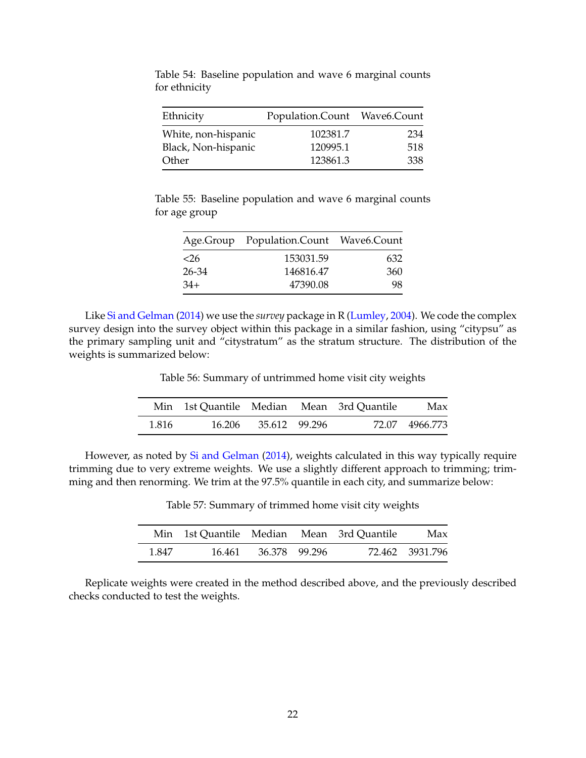| Ethnicity           | Population.Count Wave6.Count |     |  |
|---------------------|------------------------------|-----|--|
| White, non-hispanic | 102381.7                     | 234 |  |
| Black, Non-hispanic | 120995.1                     | 518 |  |
| Other               | 123861.3                     | 338 |  |

Table 54: Baseline population and wave 6 marginal counts for ethnicity

Table 55: Baseline population and wave 6 marginal counts for age group

|        | Age.Group Population.Count Wave6.Count |     |
|--------|----------------------------------------|-----|
| $<$ 26 | 153031.59                              | 632 |
| 26-34  | 146816.47                              | 360 |
| $34+$  | 47390.08                               | 98  |

Table 56: Summary of untrimmed home visit city weights

|       |                      | Min 1st Quantile Median Mean 3rd Quantile | Max            |
|-------|----------------------|-------------------------------------------|----------------|
| 1.816 | 16.206 35.612 99.296 |                                           | 72.07 4966.773 |

However, as noted by [Si and Gelman](#page-23-1) [\(2014\)](#page-23-1), weights calculated in this way typically require trimming due to very extreme weights. We use a slightly different approach to trimming; trimming and then renorming. We trim at the 97.5% quantile in each city, and summarize below:

Table 57: Summary of trimmed home visit city weights

|       | Min 1st Quantile Median Mean 3rd Quantile |               | Max             |
|-------|-------------------------------------------|---------------|-----------------|
| 1.847 | 16.461                                    | 36.378 99.296 | 72.462 3931.796 |

Replicate weights were created in the method described above, and the previously described checks conducted to test the weights.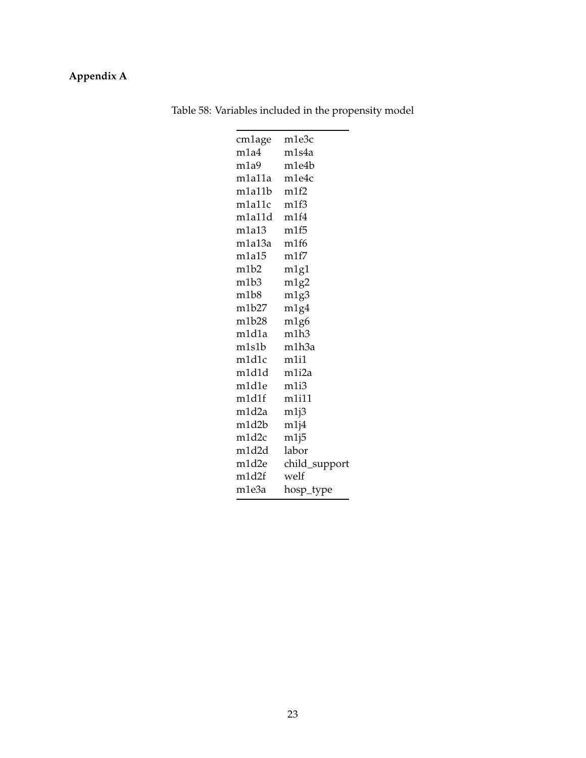## **Appendix A**

| cm1age                        | m1e3c         |
|-------------------------------|---------------|
| m1a4                          | m1s4a         |
| m <sub>1a9</sub>              | m1e4b         |
| m1a11a                        | m1e4c         |
| m1a11b                        | m1f2          |
| m1a11c                        | m1f3          |
| m1a11d                        | m1f4          |
| m1a13                         | m1f5          |
| m1a13a                        | m1f6          |
| m1a15                         | m1f7          |
| m <sub>1</sub> b <sub>2</sub> | m1g1          |
| m1b3                          | m1g2          |
| m1b8                          | m1g3          |
| m1b27                         | m1g4          |
| m1b28                         | m1g6          |
| m1d1a                         | m1h3          |
| m1s1b                         | m1h3a         |
| m1d1c                         | m1i1          |
| m1d1d                         | m1i2a         |
| m1d1e                         | m1i3          |
| m1d1f                         | m1i11         |
| m1d2a                         | m1j3          |
| m1d2b                         | m1j4          |
| m1d2c                         | m1j5          |
| m1d2d                         | labor         |
| m1d2e                         | child_support |
| m1d2f                         | welf          |
| m1e3a                         | hosp_type     |
|                               |               |

Table 58: Variables included in the propensity model